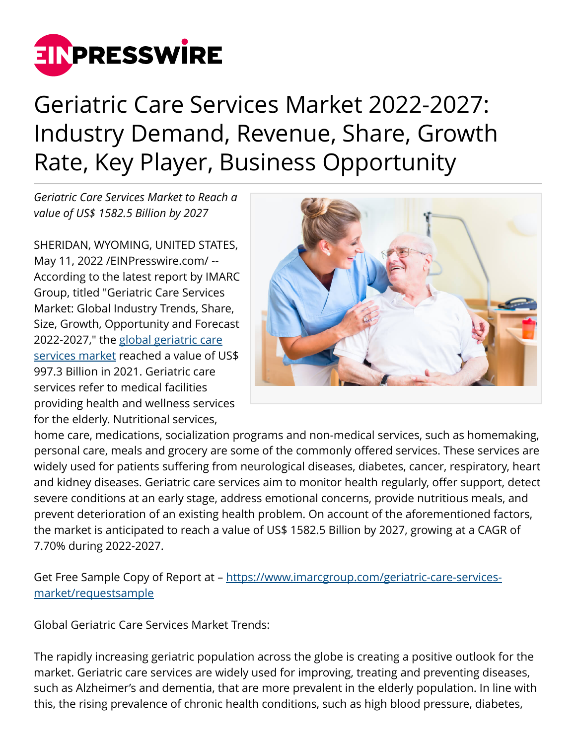

## Geriatric Care Services Market 2022-2027: Industry Demand, Revenue, Share, Growth Rate, Key Player, Business Opportunity

*Geriatric Care Services Market to Reach a value of US\$ 1582.5 Billion by 2027*

SHERIDAN, WYOMING, UNITED STATES, May 11, 2022 [/EINPresswire.com](http://www.einpresswire.com)/ -- According to the latest report by IMARC Group, titled "Geriatric Care Services Market: Global Industry Trends, Share, Size, Growth, Opportunity and Forecast 2022-2027," the [global geriatric care](https://www.imarcgroup.com/geriatric-care-services-market) [services market](https://www.imarcgroup.com/geriatric-care-services-market) reached a value of US\$ 997.3 Billion in 2021. Geriatric care services refer to medical facilities providing health and wellness services for the elderly. Nutritional services,



home care, medications, socialization programs and non-medical services, such as homemaking, personal care, meals and grocery are some of the commonly offered services. These services are widely used for patients suffering from neurological diseases, diabetes, cancer, respiratory, heart and kidney diseases. Geriatric care services aim to monitor health regularly, offer support, detect severe conditions at an early stage, address emotional concerns, provide nutritious meals, and prevent deterioration of an existing health problem. On account of the aforementioned factors, the market is anticipated to reach a value of US\$ 1582.5 Billion by 2027, growing at a CAGR of 7.70% during 2022-2027.

Get Free Sample Copy of Report at – [https://www.imarcgroup.com/geriatric-care-services](https://www.imarcgroup.com/geriatric-care-services-market/requestsample)[market/requestsample](https://www.imarcgroup.com/geriatric-care-services-market/requestsample)

Global Geriatric Care Services Market Trends:

The rapidly increasing geriatric population across the globe is creating a positive outlook for the market. Geriatric care services are widely used for improving, treating and preventing diseases, such as Alzheimer's and dementia, that are more prevalent in the elderly population. In line with this, the rising prevalence of chronic health conditions, such as high blood pressure, diabetes,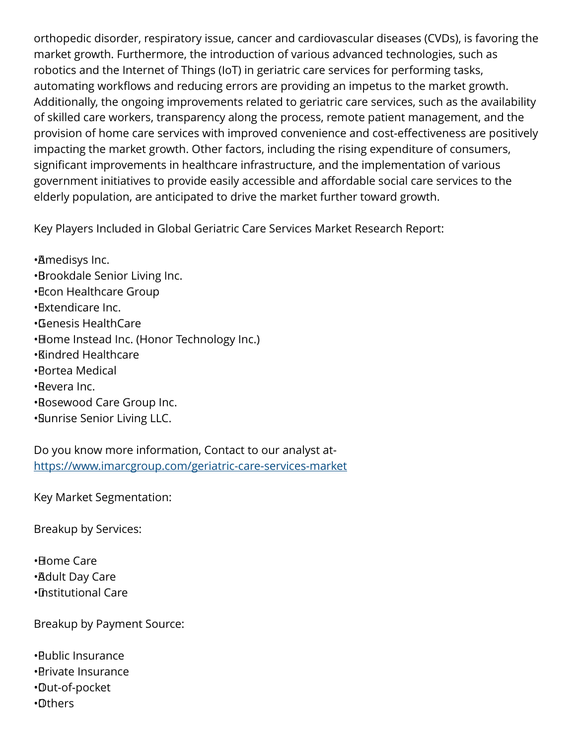orthopedic disorder, respiratory issue, cancer and cardiovascular diseases (CVDs), is favoring the market growth. Furthermore, the introduction of various advanced technologies, such as robotics and the Internet of Things (IoT) in geriatric care services for performing tasks, automating workflows and reducing errors are providing an impetus to the market growth. Additionally, the ongoing improvements related to geriatric care services, such as the availability of skilled care workers, transparency along the process, remote patient management, and the provision of home care services with improved convenience and cost-effectiveness are positively impacting the market growth. Other factors, including the rising expenditure of consumers, significant improvements in healthcare infrastructure, and the implementation of various government initiatives to provide easily accessible and affordable social care services to the elderly population, are anticipated to drive the market further toward growth.

Key Players Included in Global Geriatric Care Services Market Research Report:

- • Amedisys Inc. • Brookdale Senior Living Inc.
- • Econ Healthcare Group
- • Extendicare Inc.
- • Genesis HealthCare
- Home Instead Inc. (Honor Technology Inc.)
- • Kindred Healthcare
- • Portea Medical
- • Revera Inc.
- • Rosewood Care Group Inc.
- • Sunrise Senior Living LLC.

Do you know more information, Contact to our analyst at<https://www.imarcgroup.com/geriatric-care-services-market>

Key Market Segmentation:

Breakup by Services:

• Home Care • Adult Day Care • Institutional Care

Breakup by Payment Source:

- • Public Insurance
- • Private Insurance
- • Out-of-pocket
- • Others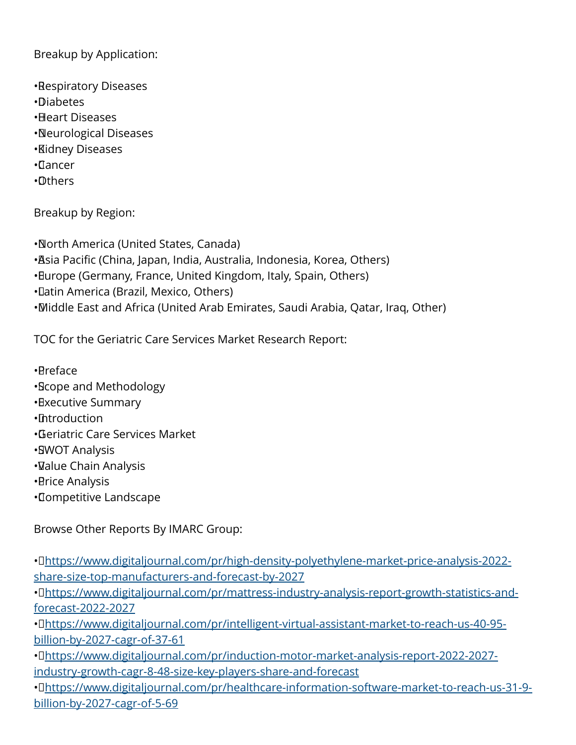## Breakup by Application:

- • Respiratory Diseases • Diabetes • Heart Diseases
- • Neurological Diseases
- • Kidney Diseases
- • Cancer
- • Others

Breakup by Region:

• North America (United States, Canada)

- • Asia Pacific (China, Japan, India, Australia, Indonesia, Korea, Others)
- • Europe (Germany, France, United Kingdom, Italy, Spain, Others)
- • Latin America (Brazil, Mexico, Others)

• Middle East and Africa (United Arab Emirates, Saudi Arabia, Qatar, Iraq, Other)

TOC for the Geriatric Care Services Market Research Report:

• Preface

- • Scope and Methodology
- • Executive Summary
- • Introduction
- • Geriatric Care Services Market
- •**SWOT Analysis**
- • Value Chain Analysis
- • Price Analysis
- • Competitive Landscape

Browse Other Reports By IMARC Group:

• D[https://www.digitaljournal.com/pr/high-density-polyethylene-market-price-analysis-2022](https://www.digitaljournal.com/pr/high-density-polyethylene-market-price-analysis-2022-share-size-top-manufacturers-and-forecast-by-2027) [share-size-top-manufacturers-and-forecast-by-2027](https://www.digitaljournal.com/pr/high-density-polyethylene-market-price-analysis-2022-share-size-top-manufacturers-and-forecast-by-2027)

· D[https://www.digitaljournal.com/pr/mattress-industry-analysis-report-growth-statistics-and](https://www.digitaljournal.com/pr/mattress-industry-analysis-report-growth-statistics-and-forecast-2022-2027)[forecast-2022-2027](https://www.digitaljournal.com/pr/mattress-industry-analysis-report-growth-statistics-and-forecast-2022-2027)

· D[https://www.digitaljournal.com/pr/intelligent-virtual-assistant-market-to-reach-us-40-95](https://www.digitaljournal.com/pr/intelligent-virtual-assistant-market-to-reach-us-40-95-billion-by-2027-cagr-of-37-61) [billion-by-2027-cagr-of-37-61](https://www.digitaljournal.com/pr/intelligent-virtual-assistant-market-to-reach-us-40-95-billion-by-2027-cagr-of-37-61)

• D[https://www.digitaljournal.com/pr/induction-motor-market-analysis-report-2022-2027](https://www.digitaljournal.com/pr/induction-motor-market-analysis-report-2022-2027-industry-growth-cagr-8-48-size-key-players-share-and-forecast) [industry-growth-cagr-8-48-size-key-players-share-and-forecast](https://www.digitaljournal.com/pr/induction-motor-market-analysis-report-2022-2027-industry-growth-cagr-8-48-size-key-players-share-and-forecast)

· D[https://www.digitaljournal.com/pr/healthcare-information-software-market-to-reach-us-31-9](https://www.digitaljournal.com/pr/healthcare-information-software-market-to-reach-us-31-9-billion-by-2027-cagr-of-5-69) [billion-by-2027-cagr-of-5-69](https://www.digitaljournal.com/pr/healthcare-information-software-market-to-reach-us-31-9-billion-by-2027-cagr-of-5-69)